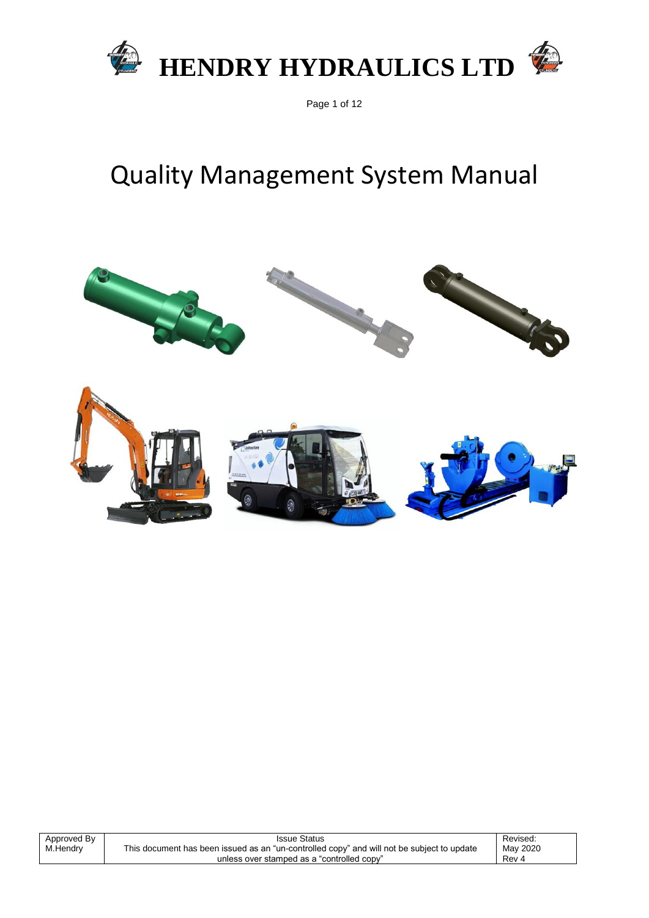

Page 1 of 12

# Quality Management System Manual



| M.Hendry<br>May 2020<br>This document has been issued as an "un-controlled copy" and will not be subject to update<br>unless over stamped as a "controlled copy"<br>Rev 4 | Approved By | <b>Issue Status</b> | Revised: |
|---------------------------------------------------------------------------------------------------------------------------------------------------------------------------|-------------|---------------------|----------|
|                                                                                                                                                                           |             |                     |          |
|                                                                                                                                                                           |             |                     |          |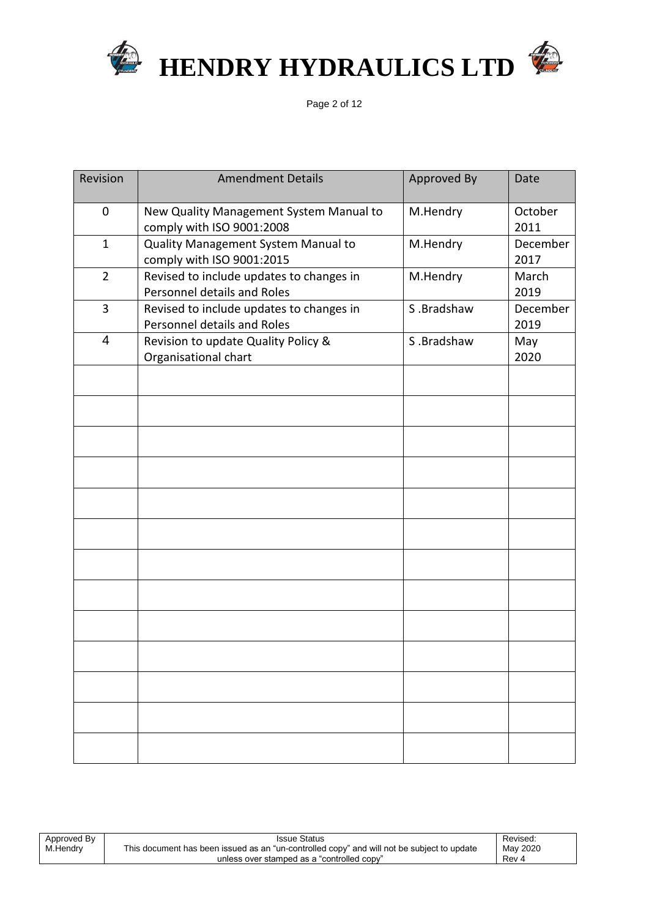

Page 2 of 12

| Revision       | <b>Amendment Details</b>                                                | Approved By | Date             |
|----------------|-------------------------------------------------------------------------|-------------|------------------|
| $\pmb{0}$      | New Quality Management System Manual to<br>comply with ISO 9001:2008    | M.Hendry    | October<br>2011  |
| $\mathbf{1}$   | Quality Management System Manual to<br>comply with ISO 9001:2015        | M.Hendry    | December<br>2017 |
| $\overline{2}$ | Revised to include updates to changes in<br>Personnel details and Roles | M.Hendry    | March<br>2019    |
| 3              | Revised to include updates to changes in<br>Personnel details and Roles | S.Bradshaw  | December<br>2019 |
| $\overline{4}$ | Revision to update Quality Policy &<br>Organisational chart             | S.Bradshaw  | May<br>2020      |
|                |                                                                         |             |                  |
|                |                                                                         |             |                  |
|                |                                                                         |             |                  |
|                |                                                                         |             |                  |
|                |                                                                         |             |                  |
|                |                                                                         |             |                  |
|                |                                                                         |             |                  |
|                |                                                                         |             |                  |
|                |                                                                         |             |                  |
|                |                                                                         |             |                  |
|                |                                                                         |             |                  |
|                |                                                                         |             |                  |
|                |                                                                         |             |                  |

| Approved By | <b>Issue Status</b>                                                                        | Revised: |
|-------------|--------------------------------------------------------------------------------------------|----------|
| M.Hendry    | This document has been issued as an "un-controlled copy" and will not be subject to update | May 2020 |
|             | unless over stamped as a "controlled copy"                                                 | Rev 4    |
|             |                                                                                            |          |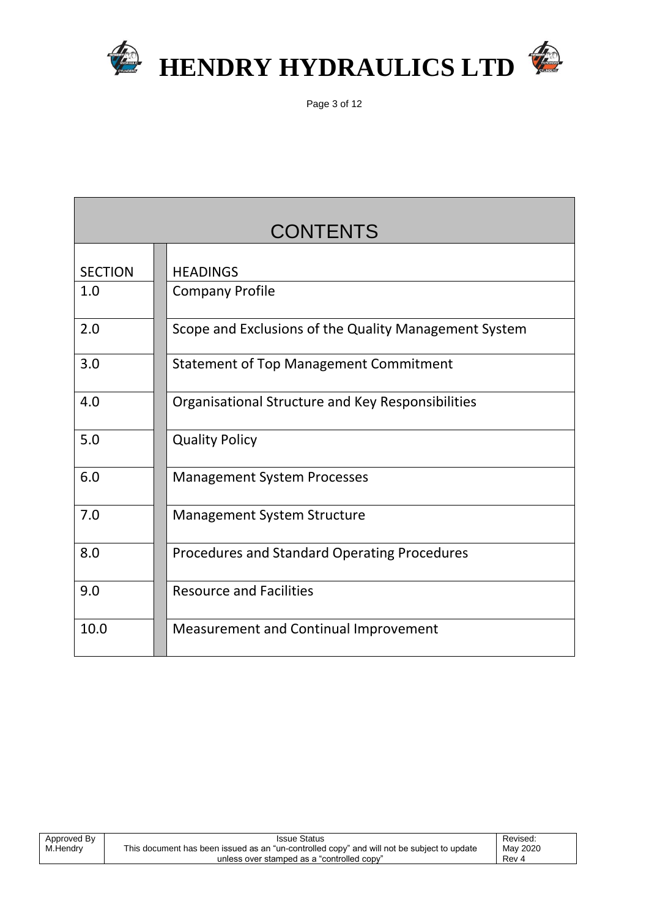

Page 3 of 12

| <b>CONTENTS</b> |                                                       |  |  |  |
|-----------------|-------------------------------------------------------|--|--|--|
| <b>SECTION</b>  | <b>HEADINGS</b>                                       |  |  |  |
| 1.0             | <b>Company Profile</b>                                |  |  |  |
| 2.0             | Scope and Exclusions of the Quality Management System |  |  |  |
| 3.0             | <b>Statement of Top Management Commitment</b>         |  |  |  |
| 4.0             | Organisational Structure and Key Responsibilities     |  |  |  |
| 5.0             | <b>Quality Policy</b>                                 |  |  |  |
| 6.0             | <b>Management System Processes</b>                    |  |  |  |
| 7.0             | <b>Management System Structure</b>                    |  |  |  |
| 8.0             | Procedures and Standard Operating Procedures          |  |  |  |
| 9.0             | <b>Resource and Facilities</b>                        |  |  |  |
| 10.0            | Measurement and Continual Improvement                 |  |  |  |

| Approved By | <b>Issue Status</b>                                                                        | Revised: |
|-------------|--------------------------------------------------------------------------------------------|----------|
| M.Hendry    | This document has been issued as an "un-controlled copy" and will not be subject to update | May 2020 |
|             | unless over stamped as a "controlled copy"                                                 | Rev 4    |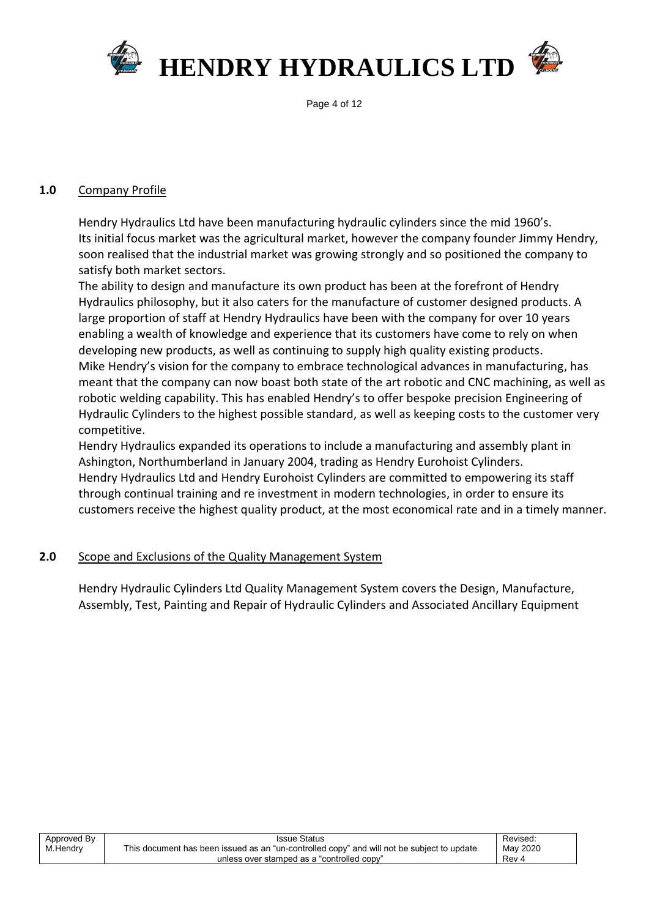

Page 4 of 12

# **1.0** Company Profile

Hendry Hydraulics Ltd have been manufacturing hydraulic cylinders since the mid 1960's. Its initial focus market was the agricultural market, however the company founder Jimmy Hendry, soon realised that the industrial market was growing strongly and so positioned the company to satisfy both market sectors.

The ability to design and manufacture its own product has been at the forefront of Hendry Hydraulics philosophy, but it also caters for the manufacture of customer designed products. A large proportion of staff at Hendry Hydraulics have been with the company for over 10 years enabling a wealth of knowledge and experience that its customers have come to rely on when developing new products, as well as continuing to supply high quality existing products. Mike Hendry's vision for the company to embrace technological advances in manufacturing, has meant that the company can now boast both state of the art robotic and CNC machining, as well as robotic welding capability. This has enabled Hendry's to offer bespoke precision Engineering of Hydraulic Cylinders to the highest possible standard, as well as keeping costs to the customer very competitive.

Hendry Hydraulics expanded its operations to include a manufacturing and assembly plant in Ashington, Northumberland in January 2004, trading as Hendry Eurohoist Cylinders. Hendry Hydraulics Ltd and Hendry Eurohoist Cylinders are committed to empowering its staff through continual training and re investment in modern technologies, in order to ensure its customers receive the highest quality product, at the most economical rate and in a timely manner.

# **2.0** Scope and Exclusions of the Quality Management System

Hendry Hydraulic Cylinders Ltd Quality Management System covers the Design, Manufacture, Assembly, Test, Painting and Repair of Hydraulic Cylinders and Associated Ancillary Equipment

| Approved By | <b>Issue Status</b>                                                                        | Revised: |
|-------------|--------------------------------------------------------------------------------------------|----------|
| M.Hendry    | This document has been issued as an "un-controlled copy" and will not be subject to update | May 2020 |
|             | unless over stamped as a "controlled copy"                                                 | Rev 4    |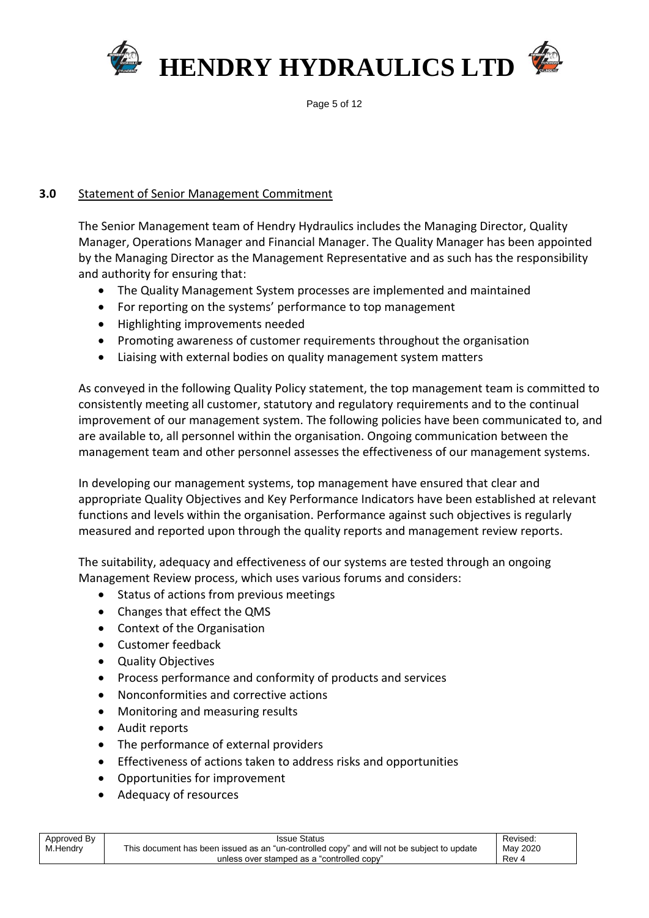

Page 5 of 12

# **3.0** Statement of Senior Management Commitment

The Senior Management team of Hendry Hydraulics includes the Managing Director, Quality Manager, Operations Manager and Financial Manager. The Quality Manager has been appointed by the Managing Director as the Management Representative and as such has the responsibility and authority for ensuring that:

- The Quality Management System processes are implemented and maintained
- For reporting on the systems' performance to top management
- Highlighting improvements needed
- Promoting awareness of customer requirements throughout the organisation
- Liaising with external bodies on quality management system matters

As conveyed in the following Quality Policy statement, the top management team is committed to consistently meeting all customer, statutory and regulatory requirements and to the continual improvement of our management system. The following policies have been communicated to, and are available to, all personnel within the organisation. Ongoing communication between the management team and other personnel assesses the effectiveness of our management systems.

In developing our management systems, top management have ensured that clear and appropriate Quality Objectives and Key Performance Indicators have been established at relevant functions and levels within the organisation. Performance against such objectives is regularly measured and reported upon through the quality reports and management review reports.

The suitability, adequacy and effectiveness of our systems are tested through an ongoing Management Review process, which uses various forums and considers:

- Status of actions from previous meetings
- Changes that effect the QMS
- Context of the Organisation
- Customer feedback
- Quality Objectives
- Process performance and conformity of products and services
- Nonconformities and corrective actions
- Monitoring and measuring results
- Audit reports
- The performance of external providers
- Effectiveness of actions taken to address risks and opportunities
- Opportunities for improvement
- Adequacy of resources

| Approved By | Issue Status                                                                               | Revised: |
|-------------|--------------------------------------------------------------------------------------------|----------|
| M.Hendrv    | This document has been issued as an "un-controlled copy" and will not be subject to update | May 2020 |
|             | unless over stamped as a "controlled copy"                                                 | Rev 4    |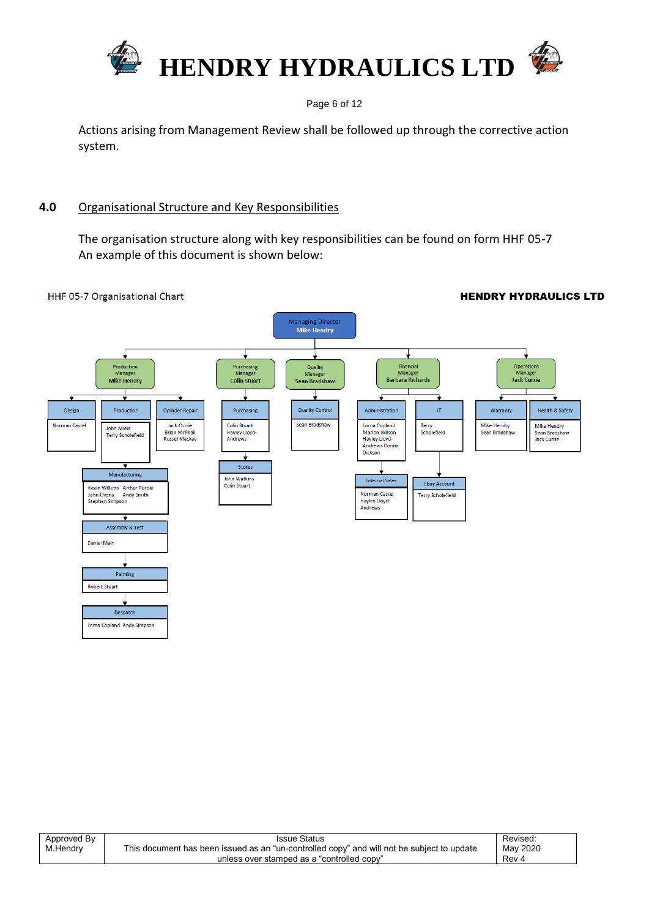

#### Page 6 of 12

Actions arising from Management Review shall be followed up through the corrective action system.

#### **4.0** Organisational Structure and Key Responsibilities

The organisation structure along with key responsibilities can be found on form HHF 05-7 An example of this document is shown below:

#### HHF 05-7 Organisational Chart

Despatch Lorna Copland Andy Simpson

#### **HENDRY HYDRAULICS LTD**



| Approved By | <b>Issue Status</b>                                                                        | Revised: |
|-------------|--------------------------------------------------------------------------------------------|----------|
| M.Hendry    | This document has been issued as an "un-controlled copy" and will not be subject to update | May 2020 |
|             | unless over stamped as a "controlled copy"                                                 | Rev 4    |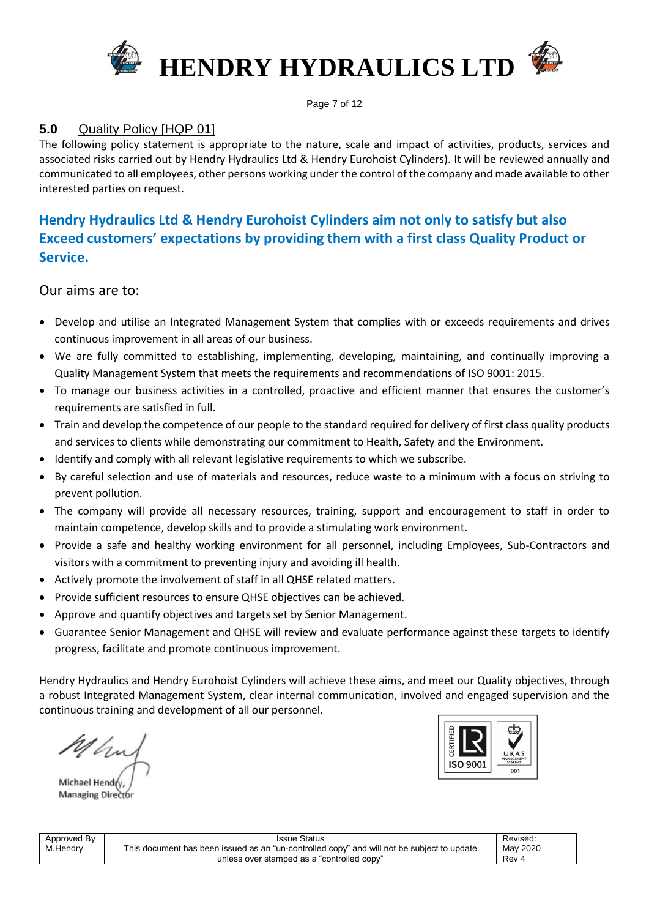

Page 7 of 12

# **5.0** Quality Policy [HQP 01]

The following policy statement is appropriate to the nature, scale and impact of activities, products, services and associated risks carried out by Hendry Hydraulics Ltd & Hendry Eurohoist Cylinders). It will be reviewed annually and communicated to all employees, other persons working under the control of the company and made available to other interested parties on request.

# **Hendry Hydraulics Ltd & Hendry Eurohoist Cylinders aim not only to satisfy but also Exceed customers' expectations by providing them with a first class Quality Product or Service.**

Our aims are to:

- Develop and utilise an Integrated Management System that complies with or exceeds requirements and drives continuous improvement in all areas of our business.
- We are fully committed to establishing, implementing, developing, maintaining, and continually improving a Quality Management System that meets the requirements and recommendations of ISO 9001: 2015.
- To manage our business activities in a controlled, proactive and efficient manner that ensures the customer's requirements are satisfied in full.
- Train and develop the competence of our people to the standard required for delivery of first class quality products and services to clients while demonstrating our commitment to Health, Safety and the Environment.
- Identify and comply with all relevant legislative requirements to which we subscribe.
- By careful selection and use of materials and resources, reduce waste to a minimum with a focus on striving to prevent pollution.
- The company will provide all necessary resources, training, support and encouragement to staff in order to maintain competence, develop skills and to provide a stimulating work environment.
- Provide a safe and healthy working environment for all personnel, including Employees, Sub-Contractors and visitors with a commitment to preventing injury and avoiding ill health.
- Actively promote the involvement of staff in all QHSE related matters.
- Provide sufficient resources to ensure QHSE objectives can be achieved.
- Approve and quantify objectives and targets set by Senior Management.
- Guarantee Senior Management and QHSE will review and evaluate performance against these targets to identify progress, facilitate and promote continuous improvement.

Hendry Hydraulics and Hendry Eurohoist Cylinders will achieve these aims, and meet our Quality objectives, through a robust Integrated Management System, clear internal communication, involved and engaged supervision and the continuous training and development of all our personnel.

In

Michael Hendry, Managing Director

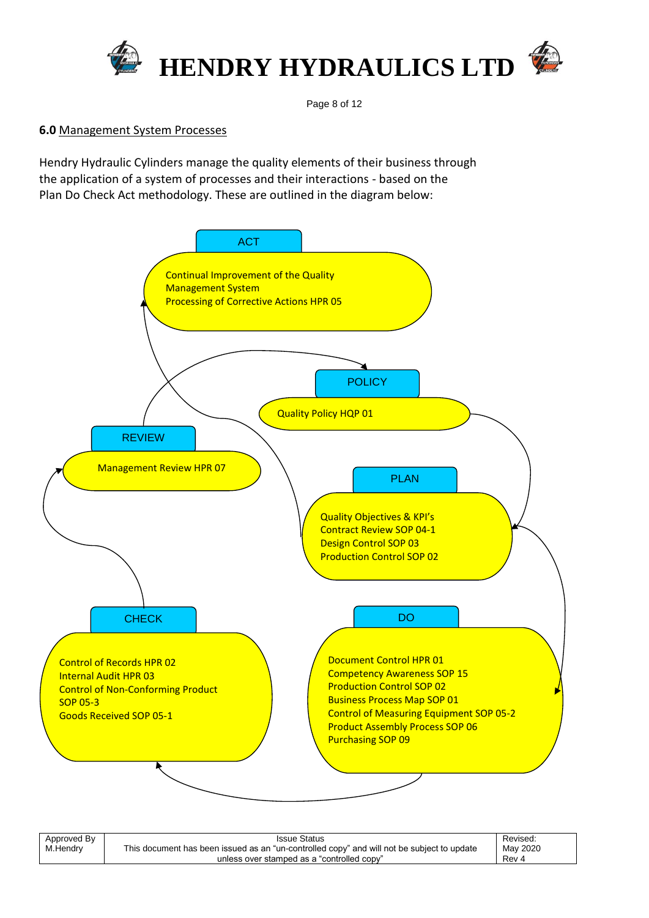

Page 8 of 12

## **6.0** Management System Processes

Hendry Hydraulic Cylinders manage the quality elements of their business through the application of a system of processes and their interactions - based on the Plan Do Check Act methodology. These are outlined in the diagram below:



| Approved By | <b>Issue Status</b>                                                                        | Revised: |
|-------------|--------------------------------------------------------------------------------------------|----------|
| M.Hendrv    | This document has been issued as an "un-controlled copy" and will not be subject to update | May 2020 |
|             | unless over stamped as a "controlled copy"                                                 | Rev 4    |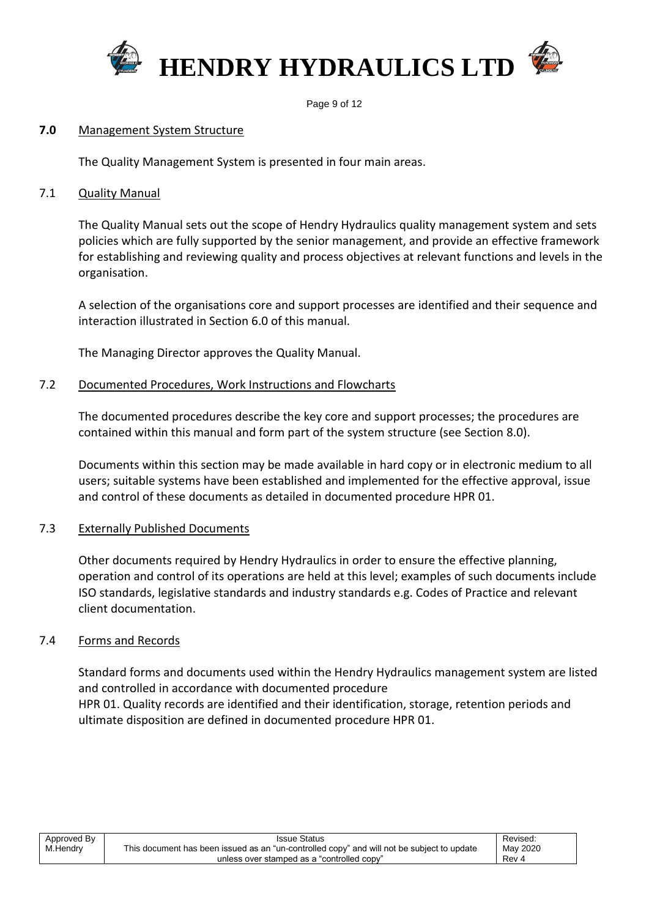

Page 9 of 12

## **7.0** Management System Structure

The Quality Management System is presented in four main areas.

## 7.1 Quality Manual

The Quality Manual sets out the scope of Hendry Hydraulics quality management system and sets policies which are fully supported by the senior management, and provide an effective framework for establishing and reviewing quality and process objectives at relevant functions and levels in the organisation.

A selection of the organisations core and support processes are identified and their sequence and interaction illustrated in Section 6.0 of this manual.

The Managing Director approves the Quality Manual.

#### 7.2 Documented Procedures, Work Instructions and Flowcharts

The documented procedures describe the key core and support processes; the procedures are contained within this manual and form part of the system structure (see Section 8.0).

Documents within this section may be made available in hard copy or in electronic medium to all users; suitable systems have been established and implemented for the effective approval, issue and control of these documents as detailed in documented procedure HPR 01.

#### 7.3 Externally Published Documents

Other documents required by Hendry Hydraulics in order to ensure the effective planning, operation and control of its operations are held at this level; examples of such documents include ISO standards, legislative standards and industry standards e.g. Codes of Practice and relevant client documentation.

#### 7.4 Forms and Records

Standard forms and documents used within the Hendry Hydraulics management system are listed and controlled in accordance with documented procedure HPR 01. Quality records are identified and their identification, storage, retention periods and ultimate disposition are defined in documented procedure HPR 01.

| Approved By | <b>Issue Status</b>                                                                        | Revised: |
|-------------|--------------------------------------------------------------------------------------------|----------|
| M.Hendry    | This document has been issued as an "un-controlled copy" and will not be subject to update | May 2020 |
|             | unless over stamped as a "controlled copy"                                                 | Rev 4    |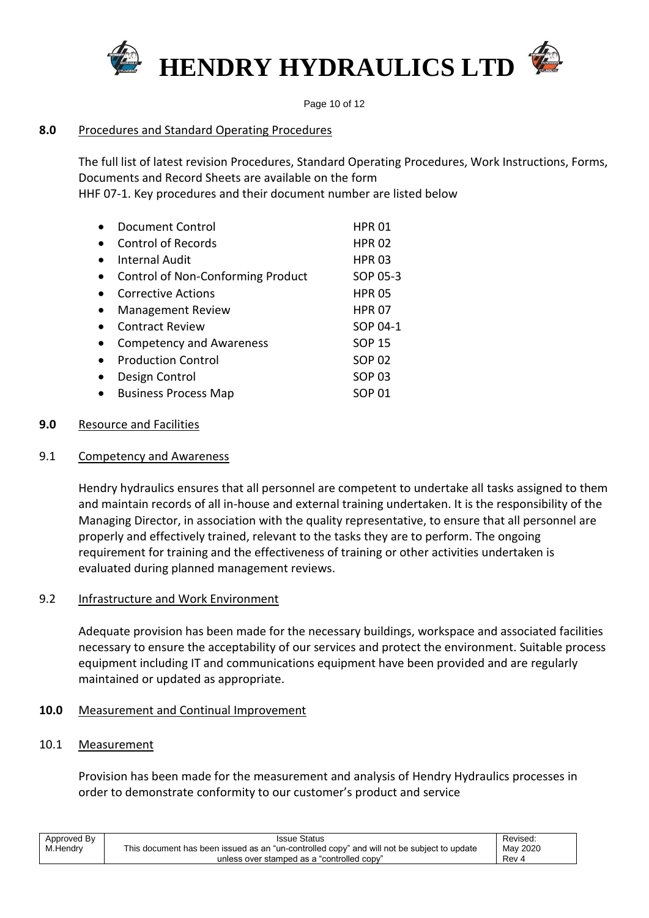

Page 10 of 12

## **8.0** Procedures and Standard Operating Procedures

The full list of latest revision Procedures, Standard Operating Procedures, Work Instructions, Forms, Documents and Record Sheets are available on the form HHF 07-1. Key procedures and their document number are listed below

|           | Document Control                  | <b>HPR 01</b> |
|-----------|-----------------------------------|---------------|
| $\bullet$ | <b>Control of Records</b>         | <b>HPR 02</b> |
| $\bullet$ | <b>Internal Audit</b>             | <b>HPR03</b>  |
| $\bullet$ | Control of Non-Conforming Product | SOP 05-3      |
| $\bullet$ | <b>Corrective Actions</b>         | <b>HPR 05</b> |
| $\bullet$ | <b>Management Review</b>          | <b>HPR 07</b> |
|           | <b>Contract Review</b>            | SOP 04-1      |
| $\bullet$ | <b>Competency and Awareness</b>   | <b>SOP 15</b> |
| $\bullet$ | <b>Production Control</b>         | <b>SOP 02</b> |
|           | Design Control                    | <b>SOP 03</b> |
| $\bullet$ | <b>Business Process Map</b>       | SOP 01        |

#### **9.0** Resource and Facilities

#### 9.1 Competency and Awareness

Hendry hydraulics ensures that all personnel are competent to undertake all tasks assigned to them and maintain records of all in-house and external training undertaken. It is the responsibility of the Managing Director, in association with the quality representative, to ensure that all personnel are properly and effectively trained, relevant to the tasks they are to perform. The ongoing requirement for training and the effectiveness of training or other activities undertaken is evaluated during planned management reviews.

#### 9.2 Infrastructure and Work Environment

Adequate provision has been made for the necessary buildings, workspace and associated facilities necessary to ensure the acceptability of our services and protect the environment. Suitable process equipment including IT and communications equipment have been provided and are regularly maintained or updated as appropriate.

#### **10.0** Measurement and Continual Improvement

## 10.1 Measurement

Provision has been made for the measurement and analysis of Hendry Hydraulics processes in order to demonstrate conformity to our customer's product and service

| Approved By | <b>Issue Status</b>                                                                        | Revised: |
|-------------|--------------------------------------------------------------------------------------------|----------|
| M.Hendry    | This document has been issued as an "un-controlled copy" and will not be subject to update | Mav 2020 |
|             | unless over stamped as a "controlled copy"                                                 | Rev 4    |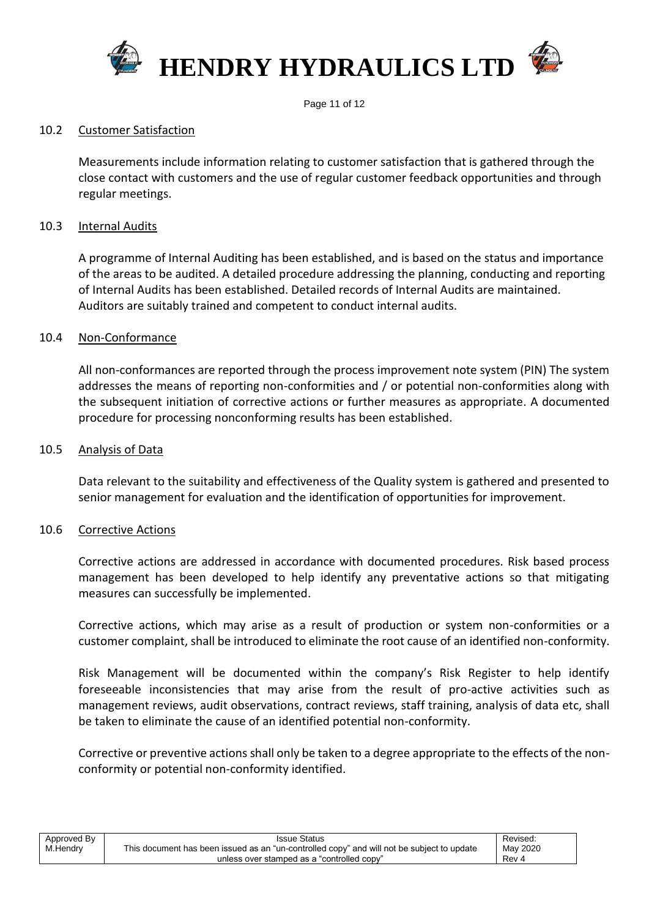

Page 11 of 12

#### 10.2 Customer Satisfaction

Measurements include information relating to customer satisfaction that is gathered through the close contact with customers and the use of regular customer feedback opportunities and through regular meetings.

#### 10.3 Internal Audits

A programme of Internal Auditing has been established, and is based on the status and importance of the areas to be audited. A detailed procedure addressing the planning, conducting and reporting of Internal Audits has been established. Detailed records of Internal Audits are maintained. Auditors are suitably trained and competent to conduct internal audits.

#### 10.4 Non-Conformance

All non-conformances are reported through the process improvement note system (PIN) The system addresses the means of reporting non-conformities and / or potential non-conformities along with the subsequent initiation of corrective actions or further measures as appropriate. A documented procedure for processing nonconforming results has been established.

#### 10.5 Analysis of Data

Data relevant to the suitability and effectiveness of the Quality system is gathered and presented to senior management for evaluation and the identification of opportunities for improvement.

#### 10.6 Corrective Actions

Corrective actions are addressed in accordance with documented procedures. Risk based process management has been developed to help identify any preventative actions so that mitigating measures can successfully be implemented.

Corrective actions, which may arise as a result of production or system non-conformities or a customer complaint, shall be introduced to eliminate the root cause of an identified non-conformity.

Risk Management will be documented within the company's Risk Register to help identify foreseeable inconsistencies that may arise from the result of pro-active activities such as management reviews, audit observations, contract reviews, staff training, analysis of data etc, shall be taken to eliminate the cause of an identified potential non-conformity.

Corrective or preventive actions shall only be taken to a degree appropriate to the effects of the nonconformity or potential non-conformity identified.

| Approved By | Issue Status                                                                               | Revised: |
|-------------|--------------------------------------------------------------------------------------------|----------|
| M.Hendry    | This document has been issued as an "un-controlled copy" and will not be subject to update | May 2020 |
|             | unless over stamped as a "controlled copy"                                                 | Rev 4    |